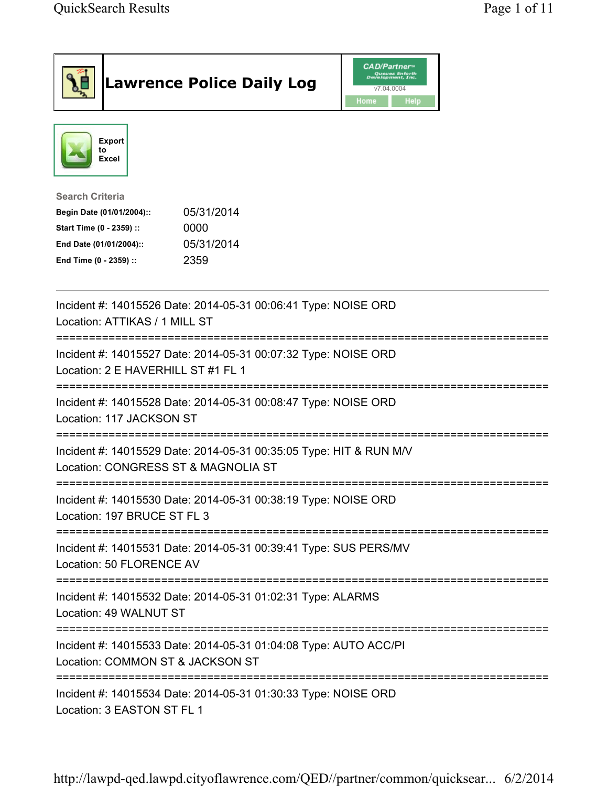|                                                                                                                                      | <b>Lawrence Police Daily Log</b>                                   | <b>CAD/Partner</b><br>Queues Enforth<br>Development, Inc.<br>v7.04.0004<br>Home<br>Help |                           |
|--------------------------------------------------------------------------------------------------------------------------------------|--------------------------------------------------------------------|-----------------------------------------------------------------------------------------|---------------------------|
| <b>Export</b><br>to<br><b>Excel</b>                                                                                                  |                                                                    |                                                                                         |                           |
| <b>Search Criteria</b><br>Begin Date (01/01/2004)::<br>Start Time (0 - 2359) ::<br>End Date (01/01/2004)::<br>End Time (0 - 2359) :: | 05/31/2014<br>0000<br>05/31/2014<br>2359                           |                                                                                         |                           |
| Location: ATTIKAS / 1 MILL ST                                                                                                        | Incident #: 14015526 Date: 2014-05-31 00:06:41 Type: NOISE ORD     |                                                                                         |                           |
| Location: 2 E HAVERHILL ST #1 FL 1                                                                                                   | Incident #: 14015527 Date: 2014-05-31 00:07:32 Type: NOISE ORD     |                                                                                         |                           |
| Location: 117 JACKSON ST                                                                                                             | Incident #: 14015528 Date: 2014-05-31 00:08:47 Type: NOISE ORD     |                                                                                         |                           |
| Location: CONGRESS ST & MAGNOLIA ST                                                                                                  | Incident #: 14015529 Date: 2014-05-31 00:35:05 Type: HIT & RUN M/V |                                                                                         |                           |
| Location: 197 BRUCE ST FL 3                                                                                                          | Incident #: 14015530 Date: 2014-05-31 00:38:19 Type: NOISE ORD     |                                                                                         |                           |
| Location: 50 FLORENCE AV                                                                                                             | Incident #: 14015531 Date: 2014-05-31 00:39:41 Type: SUS PERS/MV   |                                                                                         |                           |
| Location: 49 WALNUT ST                                                                                                               | Incident #: 14015532 Date: 2014-05-31 01:02:31 Type: ALARMS        |                                                                                         |                           |
| ==================================<br>Location: COMMON ST & JACKSON ST                                                               | Incident #: 14015533 Date: 2014-05-31 01:04:08 Type: AUTO ACC/PI   |                                                                                         | ========================= |
| Location: 3 EASTON ST FL 1                                                                                                           | Incident #: 14015534 Date: 2014-05-31 01:30:33 Type: NOISE ORD     |                                                                                         |                           |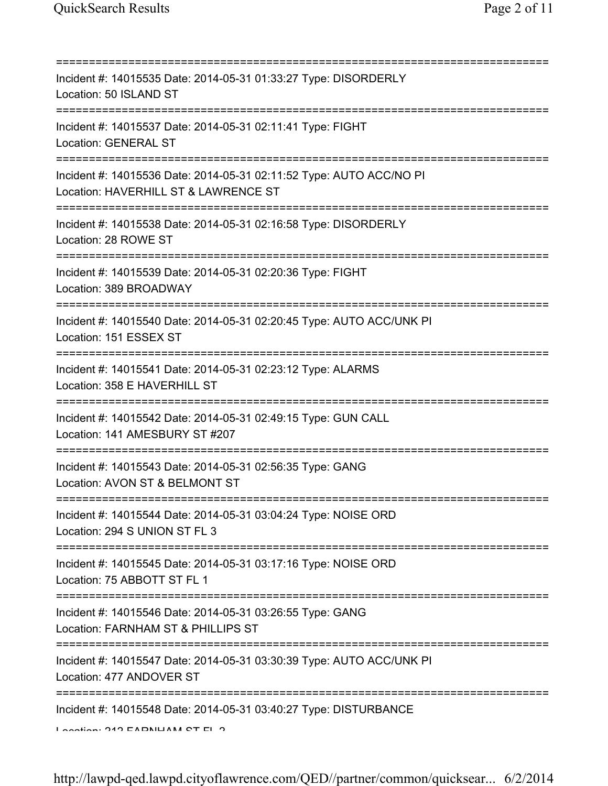=========================================================================== Incident #: 14015535 Date: 2014-05-31 01:33:27 Type: DISORDERLY Location: 50 ISLAND ST =========================================================================== Incident #: 14015537 Date: 2014-05-31 02:11:41 Type: FIGHT Location: GENERAL ST =========================================================================== Incident #: 14015536 Date: 2014-05-31 02:11:52 Type: AUTO ACC/NO PI Location: HAVERHILL ST & LAWRENCE ST =========================================================================== Incident #: 14015538 Date: 2014-05-31 02:16:58 Type: DISORDERLY Location: 28 ROWE ST =========================================================================== Incident #: 14015539 Date: 2014-05-31 02:20:36 Type: FIGHT Location: 389 BROADWAY =========================================================================== Incident #: 14015540 Date: 2014-05-31 02:20:45 Type: AUTO ACC/UNK PI Location: 151 ESSEX ST =========================================================================== Incident #: 14015541 Date: 2014-05-31 02:23:12 Type: ALARMS Location: 358 E HAVERHILL ST =========================================================================== Incident #: 14015542 Date: 2014-05-31 02:49:15 Type: GUN CALL Location: 141 AMESBURY ST #207 =========================================================================== Incident #: 14015543 Date: 2014-05-31 02:56:35 Type: GANG Location: AVON ST & BELMONT ST =========================================================================== Incident #: 14015544 Date: 2014-05-31 03:04:24 Type: NOISE ORD Location: 294 S UNION ST FL 3 =========================================================================== Incident #: 14015545 Date: 2014-05-31 03:17:16 Type: NOISE ORD Location: 75 ABBOTT ST FL 1 =========================================================================== Incident #: 14015546 Date: 2014-05-31 03:26:55 Type: GANG Location: FARNHAM ST & PHILLIPS ST =========================================================================== Incident #: 14015547 Date: 2014-05-31 03:30:39 Type: AUTO ACC/UNK PI Location: 477 ANDOVER ST =========================================================================== Incident #: 14015548 Date: 2014-05-31 03:40:27 Type: DISTURBANCE  $L$ ocation: 212  $EADNHAN$  CT  $ELA$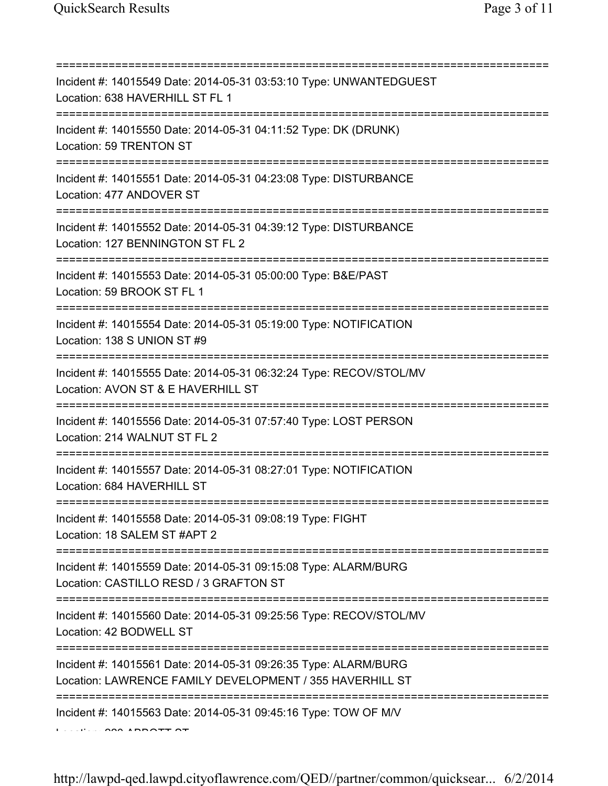| Incident #: 14015549 Date: 2014-05-31 03:53:10 Type: UNWANTEDGUEST<br>Location: 638 HAVERHILL ST FL 1                                       |
|---------------------------------------------------------------------------------------------------------------------------------------------|
| Incident #: 14015550 Date: 2014-05-31 04:11:52 Type: DK (DRUNK)<br>Location: 59 TRENTON ST                                                  |
| Incident #: 14015551 Date: 2014-05-31 04:23:08 Type: DISTURBANCE<br>Location: 477 ANDOVER ST<br>;===================================        |
| Incident #: 14015552 Date: 2014-05-31 04:39:12 Type: DISTURBANCE<br>Location: 127 BENNINGTON ST FL 2<br>;================================== |
| Incident #: 14015553 Date: 2014-05-31 05:00:00 Type: B&E/PAST<br>Location: 59 BROOK ST FL 1                                                 |
| Incident #: 14015554 Date: 2014-05-31 05:19:00 Type: NOTIFICATION<br>Location: 138 S UNION ST #9                                            |
| Incident #: 14015555 Date: 2014-05-31 06:32:24 Type: RECOV/STOL/MV<br>Location: AVON ST & E HAVERHILL ST                                    |
| Incident #: 14015556 Date: 2014-05-31 07:57:40 Type: LOST PERSON<br>Location: 214 WALNUT ST FL 2                                            |
| Incident #: 14015557 Date: 2014-05-31 08:27:01 Type: NOTIFICATION<br>Location: 684 HAVERHILL ST                                             |
| Incident #: 14015558 Date: 2014-05-31 09:08:19 Type: FIGHT<br>Location: 18 SALEM ST #APT 2                                                  |
| ------------------------<br>Incident #: 14015559 Date: 2014-05-31 09:15:08 Type: ALARM/BURG<br>Location: CASTILLO RESD / 3 GRAFTON ST       |
| Incident #: 14015560 Date: 2014-05-31 09:25:56 Type: RECOV/STOL/MV<br>Location: 42 BODWELL ST                                               |
| Incident #: 14015561 Date: 2014-05-31 09:26:35 Type: ALARM/BURG<br>Location: LAWRENCE FAMILY DEVELOPMENT / 355 HAVERHILL ST                 |
| Incident #: 14015563 Date: 2014-05-31 09:45:16 Type: TOW OF M/V                                                                             |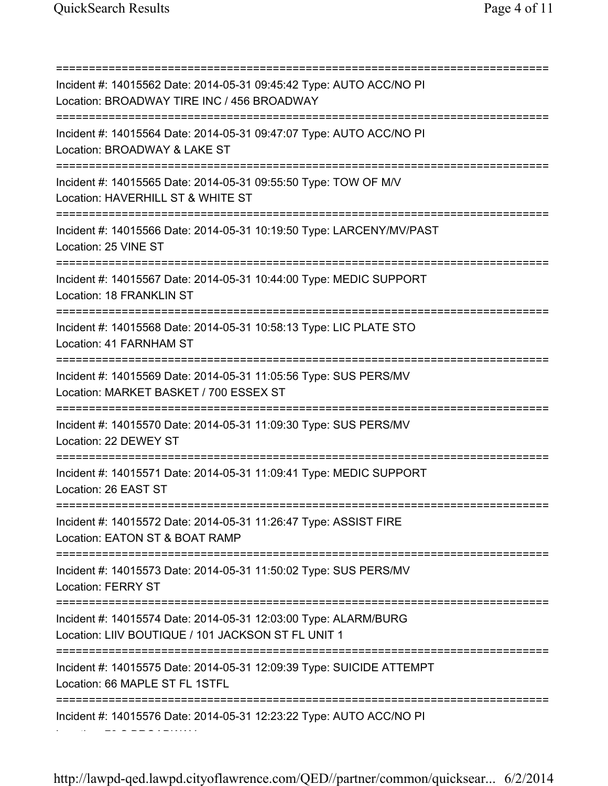Location: 70 S BROADWAY

=========================================================================== Incident #: 14015562 Date: 2014-05-31 09:45:42 Type: AUTO ACC/NO PI Location: BROADWAY TIRE INC / 456 BROADWAY =========================================================================== Incident #: 14015564 Date: 2014-05-31 09:47:07 Type: AUTO ACC/NO PI Location: BROADWAY & LAKE ST =========================================================================== Incident #: 14015565 Date: 2014-05-31 09:55:50 Type: TOW OF M/V Location: HAVERHILL ST & WHITE ST =========================================================================== Incident #: 14015566 Date: 2014-05-31 10:19:50 Type: LARCENY/MV/PAST Location: 25 VINE ST =========================================================================== Incident #: 14015567 Date: 2014-05-31 10:44:00 Type: MEDIC SUPPORT Location: 18 FRANKLIN ST =========================================================================== Incident #: 14015568 Date: 2014-05-31 10:58:13 Type: LIC PLATE STO Location: 41 FARNHAM ST =========================================================================== Incident #: 14015569 Date: 2014-05-31 11:05:56 Type: SUS PERS/MV Location: MARKET BASKET / 700 ESSEX ST =========================================================================== Incident #: 14015570 Date: 2014-05-31 11:09:30 Type: SUS PERS/MV Location: 22 DEWEY ST =========================================================================== Incident #: 14015571 Date: 2014-05-31 11:09:41 Type: MEDIC SUPPORT Location: 26 EAST ST =========================================================================== Incident #: 14015572 Date: 2014-05-31 11:26:47 Type: ASSIST FIRE Location: EATON ST & BOAT RAMP =========================================================================== Incident #: 14015573 Date: 2014-05-31 11:50:02 Type: SUS PERS/MV Location: FERRY ST =========================================================================== Incident #: 14015574 Date: 2014-05-31 12:03:00 Type: ALARM/BURG Location: LIIV BOUTIQUE / 101 JACKSON ST FL UNIT 1 =========================================================================== Incident #: 14015575 Date: 2014-05-31 12:09:39 Type: SUICIDE ATTEMPT Location: 66 MAPLE ST FL 1STFL =========================================================================== Incident #: 14015576 Date: 2014-05-31 12:23:22 Type: AUTO ACC/NO PI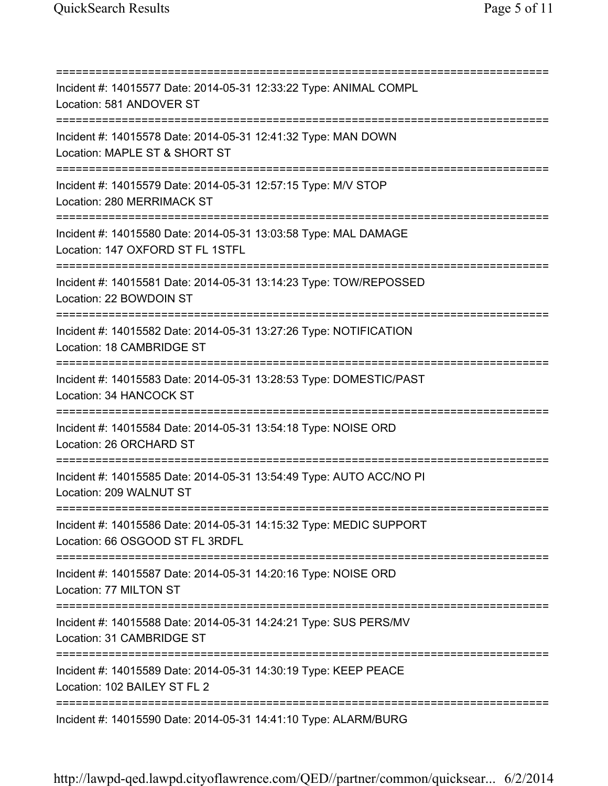=========================================================================== Incident #: 14015577 Date: 2014-05-31 12:33:22 Type: ANIMAL COMPL Location: 581 ANDOVER ST =========================================================================== Incident #: 14015578 Date: 2014-05-31 12:41:32 Type: MAN DOWN Location: MAPLE ST & SHORT ST =========================================================================== Incident #: 14015579 Date: 2014-05-31 12:57:15 Type: M/V STOP Location: 280 MERRIMACK ST =========================================================================== Incident #: 14015580 Date: 2014-05-31 13:03:58 Type: MAL DAMAGE Location: 147 OXFORD ST FL 1STFL =========================================================================== Incident #: 14015581 Date: 2014-05-31 13:14:23 Type: TOW/REPOSSED Location: 22 BOWDOIN ST =========================================================================== Incident #: 14015582 Date: 2014-05-31 13:27:26 Type: NOTIFICATION Location: 18 CAMBRIDGE ST =========================================================================== Incident #: 14015583 Date: 2014-05-31 13:28:53 Type: DOMESTIC/PAST Location: 34 HANCOCK ST =========================================================================== Incident #: 14015584 Date: 2014-05-31 13:54:18 Type: NOISE ORD Location: 26 ORCHARD ST =========================================================================== Incident #: 14015585 Date: 2014-05-31 13:54:49 Type: AUTO ACC/NO PI Location: 209 WALNUT ST =========================================================================== Incident #: 14015586 Date: 2014-05-31 14:15:32 Type: MEDIC SUPPORT Location: 66 OSGOOD ST FL 3RDFL =========================================================================== Incident #: 14015587 Date: 2014-05-31 14:20:16 Type: NOISE ORD Location: 77 MILTON ST =========================================================================== Incident #: 14015588 Date: 2014-05-31 14:24:21 Type: SUS PERS/MV Location: 31 CAMBRIDGE ST =========================================================================== Incident #: 14015589 Date: 2014-05-31 14:30:19 Type: KEEP PEACE Location: 102 BAILEY ST FL 2 =========================================================================== Incident #: 14015590 Date: 2014-05-31 14:41:10 Type: ALARM/BURG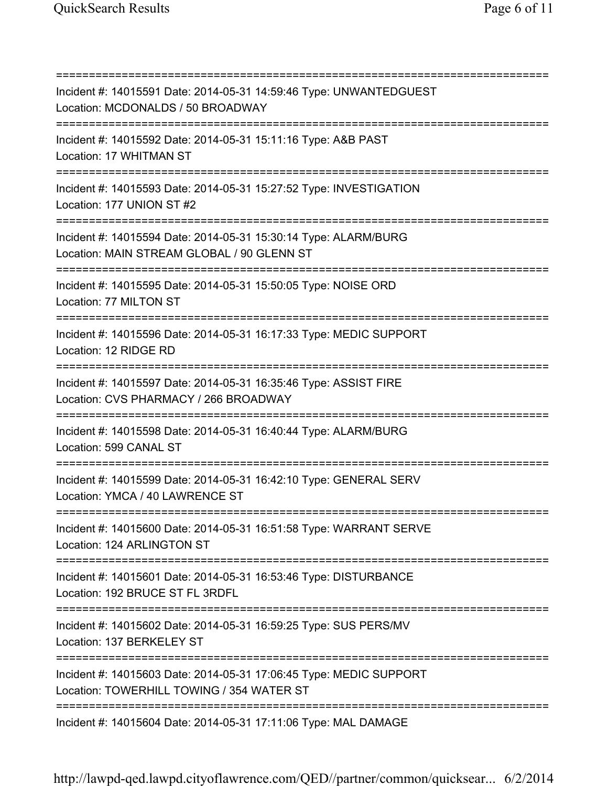=========================================================================== Incident #: 14015591 Date: 2014-05-31 14:59:46 Type: UNWANTEDGUEST Location: MCDONALDS / 50 BROADWAY =========================================================================== Incident #: 14015592 Date: 2014-05-31 15:11:16 Type: A&B PAST Location: 17 WHITMAN ST =========================================================================== Incident #: 14015593 Date: 2014-05-31 15:27:52 Type: INVESTIGATION Location: 177 UNION ST #2 =========================================================================== Incident #: 14015594 Date: 2014-05-31 15:30:14 Type: ALARM/BURG Location: MAIN STREAM GLOBAL / 90 GLENN ST =========================================================================== Incident #: 14015595 Date: 2014-05-31 15:50:05 Type: NOISE ORD Location: 77 MILTON ST =========================================================================== Incident #: 14015596 Date: 2014-05-31 16:17:33 Type: MEDIC SUPPORT Location: 12 RIDGE RD =========================================================================== Incident #: 14015597 Date: 2014-05-31 16:35:46 Type: ASSIST FIRE Location: CVS PHARMACY / 266 BROADWAY =========================================================================== Incident #: 14015598 Date: 2014-05-31 16:40:44 Type: ALARM/BURG Location: 599 CANAL ST =========================================================================== Incident #: 14015599 Date: 2014-05-31 16:42:10 Type: GENERAL SERV Location: YMCA / 40 LAWRENCE ST =========================================================================== Incident #: 14015600 Date: 2014-05-31 16:51:58 Type: WARRANT SERVE Location: 124 ARLINGTON ST =========================================================================== Incident #: 14015601 Date: 2014-05-31 16:53:46 Type: DISTURBANCE Location: 192 BRUCE ST FL 3RDFL =========================================================================== Incident #: 14015602 Date: 2014-05-31 16:59:25 Type: SUS PERS/MV Location: 137 BERKELEY ST =========================================================================== Incident #: 14015603 Date: 2014-05-31 17:06:45 Type: MEDIC SUPPORT Location: TOWERHILL TOWING / 354 WATER ST =========================================================================== Incident #: 14015604 Date: 2014-05-31 17:11:06 Type: MAL DAMAGE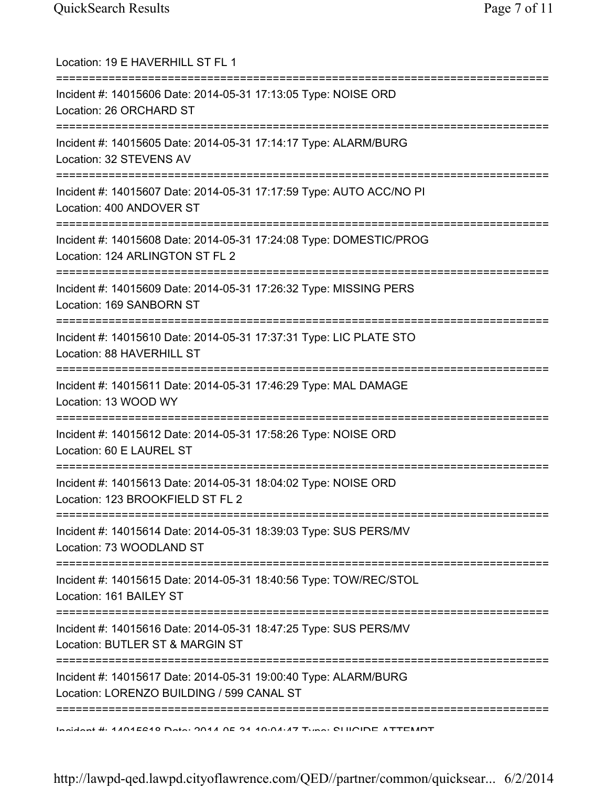| Location: 19 E HAVERHILL ST FL 1                                                                                                        |
|-----------------------------------------------------------------------------------------------------------------------------------------|
| Incident #: 14015606 Date: 2014-05-31 17:13:05 Type: NOISE ORD<br>Location: 26 ORCHARD ST                                               |
| Incident #: 14015605 Date: 2014-05-31 17:14:17 Type: ALARM/BURG<br>Location: 32 STEVENS AV                                              |
| Incident #: 14015607 Date: 2014-05-31 17:17:59 Type: AUTO ACC/NO PI<br>Location: 400 ANDOVER ST<br>;=================================== |
| Incident #: 14015608 Date: 2014-05-31 17:24:08 Type: DOMESTIC/PROG<br>Location: 124 ARLINGTON ST FL 2<br>.------------------------      |
| Incident #: 14015609 Date: 2014-05-31 17:26:32 Type: MISSING PERS<br>Location: 169 SANBORN ST                                           |
| Incident #: 14015610 Date: 2014-05-31 17:37:31 Type: LIC PLATE STO<br>Location: 88 HAVERHILL ST                                         |
| Incident #: 14015611 Date: 2014-05-31 17:46:29 Type: MAL DAMAGE<br>Location: 13 WOOD WY                                                 |
| :========================<br>Incident #: 14015612 Date: 2014-05-31 17:58:26 Type: NOISE ORD<br>Location: 60 E LAUREL ST                 |
| Incident #: 14015613 Date: 2014-05-31 18:04:02 Type: NOISE ORD<br>Location: 123 BROOKFIELD ST FL 2                                      |
| Incident #: 14015614 Date: 2014-05-31 18:39:03 Type: SUS PERS/MV<br>Location: 73 WOODLAND ST                                            |
| ===================================<br>Incident #: 14015615 Date: 2014-05-31 18:40:56 Type: TOW/REC/STOL<br>Location: 161 BAILEY ST     |
| Incident #: 14015616 Date: 2014-05-31 18:47:25 Type: SUS PERS/MV<br>Location: BUTLER ST & MARGIN ST                                     |
| Incident #: 14015617 Date: 2014-05-31 19:00:40 Type: ALARM/BURG<br>Location: LORENZO BUILDING / 599 CANAL ST                            |
| Incident #: 1101EC10 Data: 0011 OF 01 10:04:17 Tune: CHIOIDE ATTEMPT                                                                    |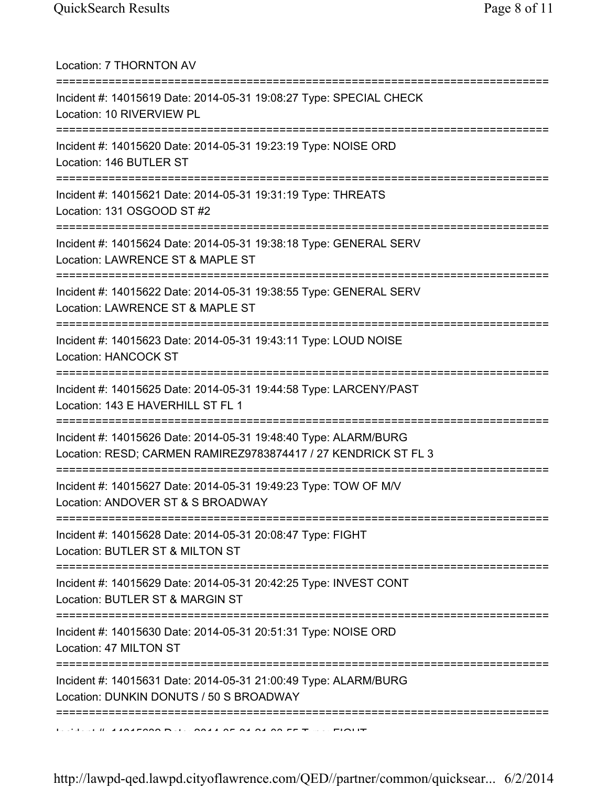Location: 7 THORNTON AV =========================================================================== Incident #: 14015619 Date: 2014-05-31 19:08:27 Type: SPECIAL CHECK Location: 10 RIVERVIEW PL =========================================================================== Incident #: 14015620 Date: 2014-05-31 19:23:19 Type: NOISE ORD Location: 146 BUTLER ST =========================================================================== Incident #: 14015621 Date: 2014-05-31 19:31:19 Type: THREATS Location: 131 OSGOOD ST #2 =========================================================================== Incident #: 14015624 Date: 2014-05-31 19:38:18 Type: GENERAL SERV Location: LAWRENCE ST & MAPLE ST =========================================================================== Incident #: 14015622 Date: 2014-05-31 19:38:55 Type: GENERAL SERV Location: LAWRENCE ST & MAPLE ST =========================================================================== Incident #: 14015623 Date: 2014-05-31 19:43:11 Type: LOUD NOISE Location: HANCOCK ST =========================================================================== Incident #: 14015625 Date: 2014-05-31 19:44:58 Type: LARCENY/PAST Location: 143 E HAVERHILL ST FL 1 =========================================================================== Incident #: 14015626 Date: 2014-05-31 19:48:40 Type: ALARM/BURG Location: RESD; CARMEN RAMIREZ9783874417 / 27 KENDRICK ST FL 3 =========================================================================== Incident #: 14015627 Date: 2014-05-31 19:49:23 Type: TOW OF M/V Location: ANDOVER ST & S BROADWAY =========================================================================== Incident #: 14015628 Date: 2014-05-31 20:08:47 Type: FIGHT Location: BUTLER ST & MILTON ST =========================================================================== Incident #: 14015629 Date: 2014-05-31 20:42:25 Type: INVEST CONT Location: BUTLER ST & MARGIN ST =========================================================================== Incident #: 14015630 Date: 2014-05-31 20:51:31 Type: NOISE ORD Location: 47 MILTON ST =========================================================================== Incident #: 14015631 Date: 2014-05-31 21:00:49 Type: ALARM/BURG Location: DUNKIN DONUTS / 50 S BROADWAY ===========================================================================  $\overline{10}$  and  $\overline{16}$  and  $\overline{16}$  of  $\overline{16}$  and  $\overline{16}$  and  $\overline{16}$  and  $\overline{16}$   $\overline{16}$   $\overline{16}$   $\overline{17}$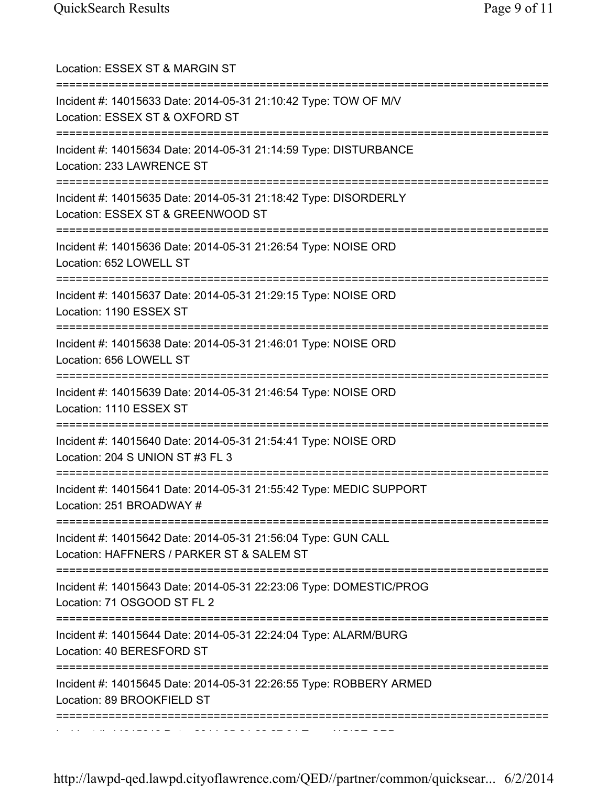| Location: ESSEX ST & MARGIN ST<br>=====================================                                                                     |
|---------------------------------------------------------------------------------------------------------------------------------------------|
| Incident #: 14015633 Date: 2014-05-31 21:10:42 Type: TOW OF M/V<br>Location: ESSEX ST & OXFORD ST                                           |
| Incident #: 14015634 Date: 2014-05-31 21:14:59 Type: DISTURBANCE<br>Location: 233 LAWRENCE ST                                               |
| Incident #: 14015635 Date: 2014-05-31 21:18:42 Type: DISORDERLY<br>Location: ESSEX ST & GREENWOOD ST                                        |
| Incident #: 14015636 Date: 2014-05-31 21:26:54 Type: NOISE ORD<br>Location: 652 LOWELL ST                                                   |
| Incident #: 14015637 Date: 2014-05-31 21:29:15 Type: NOISE ORD<br>Location: 1190 ESSEX ST                                                   |
| Incident #: 14015638 Date: 2014-05-31 21:46:01 Type: NOISE ORD<br>Location: 656 LOWELL ST                                                   |
| ======================================<br>Incident #: 14015639 Date: 2014-05-31 21:46:54 Type: NOISE ORD<br>Location: 1110 ESSEX ST         |
| Incident #: 14015640 Date: 2014-05-31 21:54:41 Type: NOISE ORD<br>Location: 204 S UNION ST #3 FL 3                                          |
| Incident #: 14015641 Date: 2014-05-31 21:55:42 Type: MEDIC SUPPORT<br>Location: 251 BROADWAY #                                              |
| :============================<br>Incident #: 14015642 Date: 2014-05-31 21:56:04 Type: GUN CALL<br>Location: HAFFNERS / PARKER ST & SALEM ST |
| Incident #: 14015643 Date: 2014-05-31 22:23:06 Type: DOMESTIC/PROG<br>Location: 71 OSGOOD ST FL 2                                           |
| Incident #: 14015644 Date: 2014-05-31 22:24:04 Type: ALARM/BURG<br>Location: 40 BERESFORD ST                                                |
| :============<br>Incident #: 14015645 Date: 2014-05-31 22:26:55 Type: ROBBERY ARMED<br>Location: 89 BROOKFIELD ST                           |
|                                                                                                                                             |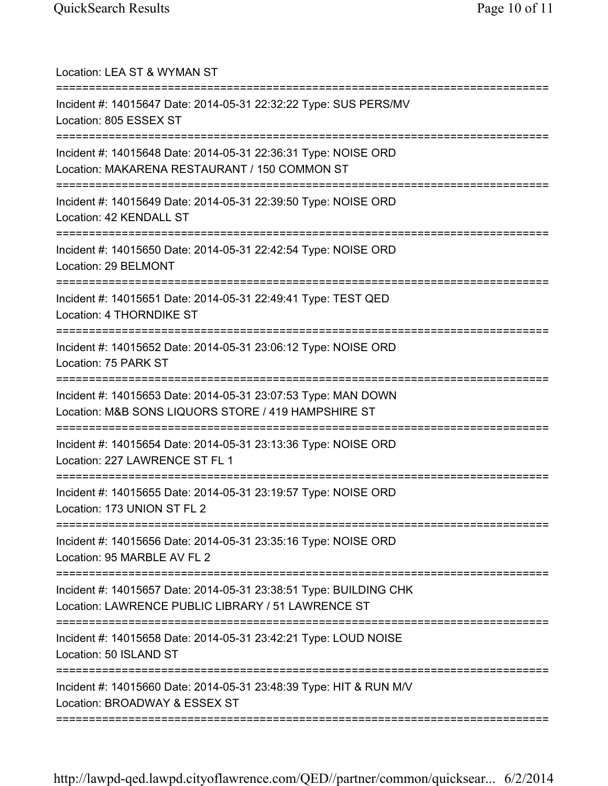| Location: LEA ST & WYMAN ST<br>=========================                                                                 |
|--------------------------------------------------------------------------------------------------------------------------|
| Incident #: 14015647 Date: 2014-05-31 22:32:22 Type: SUS PERS/MV<br>Location: 805 ESSEX ST                               |
| Incident #: 14015648 Date: 2014-05-31 22:36:31 Type: NOISE ORD<br>Location: MAKARENA RESTAURANT / 150 COMMON ST          |
| Incident #: 14015649 Date: 2014-05-31 22:39:50 Type: NOISE ORD<br>Location: 42 KENDALL ST                                |
| Incident #: 14015650 Date: 2014-05-31 22:42:54 Type: NOISE ORD<br>Location: 29 BELMONT                                   |
| Incident #: 14015651 Date: 2014-05-31 22:49:41 Type: TEST QED<br>Location: 4 THORNDIKE ST                                |
| Incident #: 14015652 Date: 2014-05-31 23:06:12 Type: NOISE ORD<br>Location: 75 PARK ST                                   |
| Incident #: 14015653 Date: 2014-05-31 23:07:53 Type: MAN DOWN<br>Location: M&B SONS LIQUORS STORE / 419 HAMPSHIRE ST     |
| Incident #: 14015654 Date: 2014-05-31 23:13:36 Type: NOISE ORD<br>Location: 227 LAWRENCE ST FL 1                         |
| Incident #: 14015655 Date: 2014-05-31 23:19:57 Type: NOISE ORD<br>Location: 173 UNION ST FL 2<br>======================= |
| Incident #: 14015656 Date: 2014-05-31 23:35:16 Type: NOISE ORD<br>Location: 95 MARBLE AV FL 2<br>:================       |
| Incident #: 14015657 Date: 2014-05-31 23:38:51 Type: BUILDING CHK<br>Location: LAWRENCE PUBLIC LIBRARY / 51 LAWRENCE ST  |
| Incident #: 14015658 Date: 2014-05-31 23:42:21 Type: LOUD NOISE<br>Location: 50 ISLAND ST                                |
| Incident #: 14015660 Date: 2014-05-31 23:48:39 Type: HIT & RUN M/V<br>Location: BROADWAY & ESSEX ST                      |
|                                                                                                                          |